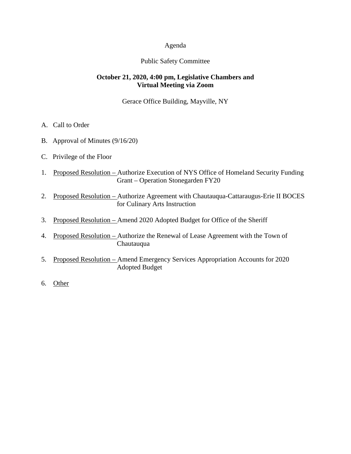### Agenda

### Public Safety Committee

### **October 21, 2020, 4:00 pm, Legislative Chambers and Virtual Meeting via Zoom**

Gerace Office Building, Mayville, NY

- A. Call to Order
- B. Approval of Minutes (9/16/20)
- C. Privilege of the Floor
- 1. Proposed Resolution Authorize Execution of NYS Office of Homeland Security Funding Grant – Operation Stonegarden FY20
- 2. Proposed Resolution Authorize Agreement with Chautauqua-Cattaraugus-Erie II BOCES for Culinary Arts Instruction
- 3. Proposed Resolution Amend 2020 Adopted Budget for Office of the Sheriff
- 4. Proposed Resolution Authorize the Renewal of Lease Agreement with the Town of Chautauqua
- 5. Proposed Resolution Amend Emergency Services Appropriation Accounts for 2020 Adopted Budget
- 6. Other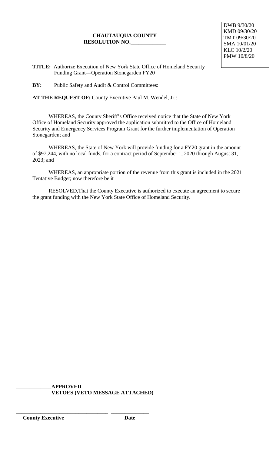DWB 9/30/20 KMD 09/30/20 TMT 09/30/20 SMA 10/01/20 KLC 10/2/20 PMW 10/8/20

**TITLE:** Authorize Execution of New York State Office of Homeland Security Funding Grant—Operation Stonegarden FY20

**BY:** Public Safety and Audit & Control Committees:

**AT THE REQUEST OF:** County Executive Paul M. Wendel, Jr.:

WHEREAS, the County Sheriff's Office received notice that the State of New York Office of Homeland Security approved the application submitted to the Office of Homeland Security and Emergency Services Program Grant for the further implementation of Operation Stonegarden; and

WHEREAS, the State of New York will provide funding for a FY20 grant in the amount of \$97,244, with no local funds, for a contract period of September 1, 2020 through August 31, 2023; and

WHEREAS, an appropriate portion of the revenue from this grant is included in the 2021 Tentative Budget; now therefore be it

RESOLVED,That the County Executive is authorized to execute an agreement to secure the grant funding with the New York State Office of Homeland Security.

**\_\_\_\_\_\_\_\_\_\_\_\_\_APPROVED \_\_\_\_\_\_\_\_\_\_\_\_\_VETOES (VETO MESSAGE ATTACHED)**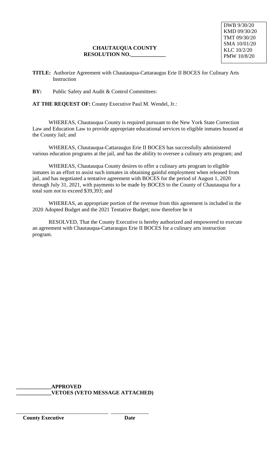**TITLE:** Authorize Agreement with Chautauqua-Cattaraugus Erie II BOCES for Culinary Arts **Instruction** 

**BY:** Public Safety and Audit & Control Committees:

**AT THE REQUEST OF:** County Executive Paul M. Wendel, Jr.:

WHEREAS, Chautauqua County is required pursuant to the New York State Correction Law and Education Law to provide appropriate educational services to eligible inmates housed at the County Jail; and

WHEREAS, Chautauqua-Cattaraugus Erie II BOCES has successfully administered various education programs at the jail, and has the ability to oversee a culinary arts program; and

WHEREAS, Chautauqua County desires to offer a culinary arts program to eligible inmates in an effort to assist such inmates in obtaining gainful employment when released from jail, and has negotiated a tentative agreement with BOCES for the period of August 1, 2020 through July 31, 2021, with payments to be made by BOCES to the County of Chautauqua for a total sum not to exceed \$39,393; and

WHEREAS, an appropriate portion of the revenue from this agreement is included in the 2020 Adopted Budget and the 2021 Tentative Budget; now therefore be it

RESOLVED, That the County Executive is hereby authorized and empowered to execute an agreement with Chautauqua-Cattaraugus Erie II BOCES for a culinary arts instruction program.

**\_\_\_\_\_\_\_\_\_\_\_\_\_APPROVED \_\_\_\_\_\_\_\_\_\_\_\_\_VETOES (VETO MESSAGE ATTACHED)**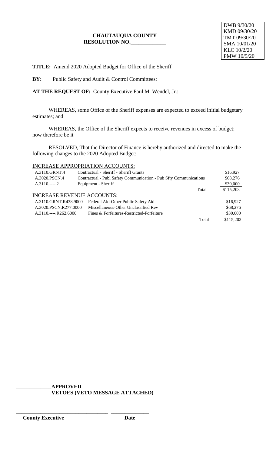**TITLE:** Amend 2020 Adopted Budget for Office of the Sheriff

**BY:** Public Safety and Audit & Control Committees:

**AT THE REQUEST OF:** County Executive Paul M. Wendel, Jr.:

WHEREAS, some Office of the Sheriff expenses are expected to exceed initial budgetary estimates; and

WHEREAS, the Office of the Sheriff expects to receive revenues in excess of budget; now therefore be it

RESOLVED, That the Director of Finance is hereby authorized and directed to make the following changes to the 2020 Adopted Budget:

# INCREASE APPROPRIATION ACCOUNTS:

| A.3110.GRNT.4                     | Contractual - Sheriff - Sheriff Grants                            |       | \$16,927  |
|-----------------------------------|-------------------------------------------------------------------|-------|-----------|
| A.3020.PSCN.4                     | Contractual - Publ Safety Communication - Pub Sfty Communications |       | \$68,276  |
| $A.3110.---2$                     | Equipment - Sheriff                                               |       | \$30,000  |
|                                   |                                                                   | Total | \$115,203 |
| <b>INCREASE REVENUE ACCOUNTS:</b> |                                                                   |       |           |
| A.3110.GRNT.R438.9000             | Federal Aid-Other Public Safety Aid                               |       | \$16,927  |
| A.3020.PSCN.R277.0000             | Miscellaneous-Other Unclassified Rev                              |       | \$68,276  |
| $A.3110$ $R262.6000$              | Fines & Forfeitures-Restricted-Forfeiture                         |       | \$30,000  |
|                                   |                                                                   | Total | \$115,203 |

**\_\_\_\_\_\_\_\_\_\_\_\_\_APPROVED \_\_\_\_\_\_\_\_\_\_\_\_\_VETOES (VETO MESSAGE ATTACHED)**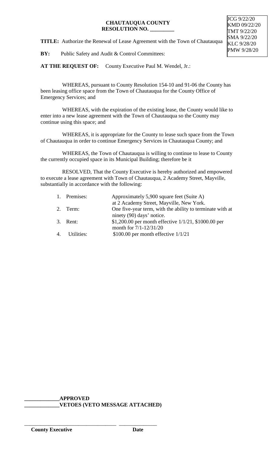**TITLE:** Authorize the Renewal of Lease Agreement with the Town of Chautauqua

**BY:** Public Safety and Audit & Control Committees:

AT THE REQUEST OF: County Executive Paul M. Wendel, Jr.:

 WHEREAS, pursuant to County Resolution 154-10 and 91-06 the County has been leasing office space from the Town of Chautauqua for the County Office of Emergency Services; and

 WHEREAS, with the expiration of the existing lease, the County would like to enter into a new lease agreement with the Town of Chautauqua so the County may continue using this space; and

 WHEREAS, it is appropriate for the County to lease such space from the Town of Chautauqua in order to continue Emergency Services in Chautauqua County; and

 WHEREAS, the Town of Chautauqua is willing to continue to lease to County the currently occupied space in its Municipal Building; therefore be it

 RESOLVED, That the County Executive is hereby authorized and empowered to execute a lease agreement with Town of Chautauqua, 2 Academy Street, Mayville, substantially in accordance with the following:

| 1. Premises:  | Approximately 5,900 square feet (Suite A)                 |  |
|---------------|-----------------------------------------------------------|--|
|               | at 2 Academy Street, Mayville, New York.                  |  |
| 2. Term:      | One five-year term, with the ability to terminate with at |  |
|               | ninety (90) days' notice.                                 |  |
| 3. Rent:      | \$1,200.00 per month effective $1/1/21$ , \$1000.00 per   |  |
|               | month for 7/1-12/31/20                                    |  |
| 4. Utilities: | \$100.00 per month effective $1/1/21$                     |  |

**\_\_\_\_\_\_\_\_\_\_\_\_\_APPROVED \_\_\_\_\_\_\_\_\_\_\_\_\_VETOES (VETO MESSAGE ATTACHED)**